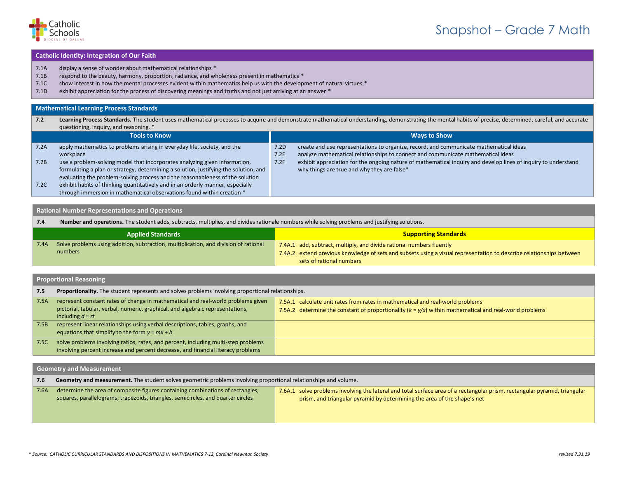

# Snapshot – Grade 7 Math

### **Catholic Identity: Integration of Our Faith**

- 7.1A display a sense of wonder about mathematical relationships \*
- 7.1B respond to the beauty, harmony, proportion, radiance, and wholeness present in mathematics \*
- 7.1C show interest in how the mental processes evident within mathematics help us with the development of natural virtues \*
- 7.1D exhibit appreciation for the process of discovering meanings and truths and not just arriving at an answer \*

#### **Mathematical Learning Process Standards**

| 7.2  | questioning, inquiry, and reasoning. *                                               |      | Learning Process Standards. The student uses mathematical processes to acquire and demonstrate mathematical understanding, demonstrating the mental habits of precise, determined, careful, and accurate |
|------|--------------------------------------------------------------------------------------|------|----------------------------------------------------------------------------------------------------------------------------------------------------------------------------------------------------------|
|      | Tools to Know                                                                        |      | <b>Ways to Show</b>                                                                                                                                                                                      |
| 7.2A | apply mathematics to problems arising in everyday life, society, and the             | 7.2D | create and use representations to organize, record, and communicate mathematical ideas                                                                                                                   |
|      | workplace                                                                            | 7.2E | analyze mathematical relationships to connect and communicate mathematical ideas                                                                                                                         |
| 7.2B | use a problem-solving model that incorporates analyzing given information,           | 7.2F | exhibit appreciation for the ongoing nature of mathematical inquiry and develop lines of inquiry to understand                                                                                           |
|      | formulating a plan or strategy, determining a solution, justifying the solution, and |      | why things are true and why they are false*                                                                                                                                                              |
|      | evaluating the problem-solving process and the reasonableness of the solution        |      |                                                                                                                                                                                                          |
| 7.2C | exhibit habits of thinking quantitatively and in an orderly manner, especially       |      |                                                                                                                                                                                                          |
|      | through immersion in mathematical observations found within creation *               |      |                                                                                                                                                                                                          |

# **Rational Number Representations and Operations**

| 7.4  | Number and operations. The student adds, subtracts, multiplies, and divides rationale numbers while solving problems and justifying solutions. |                                                                                                                      |
|------|------------------------------------------------------------------------------------------------------------------------------------------------|----------------------------------------------------------------------------------------------------------------------|
|      | <b>Applied Standards</b>                                                                                                                       | <b>Supporting Standards</b>                                                                                          |
| 7.4A | Solve problems using addition, subtraction, multiplication, and division of rational                                                           | 7.4A.1 add, subtract, multiply, and divide rational numbers fluently                                                 |
|      | numbers                                                                                                                                        | 7.4A.2 extend previous knowledge of sets and subsets using a visual representation to describe relationships between |
|      |                                                                                                                                                | sets of rational numbers                                                                                             |

## **Proportional Reasoning**

| 7.5  | Proportionality. The student represents and solves problems involving proportional relationships.                                                                                        |                                                                                                                                                                                            |
|------|------------------------------------------------------------------------------------------------------------------------------------------------------------------------------------------|--------------------------------------------------------------------------------------------------------------------------------------------------------------------------------------------|
| 7.5A | represent constant rates of change in mathematical and real-world problems given<br>pictorial, tabular, verbal, numeric, graphical, and algebraic representations,<br>including $d = rt$ | 7.5A.1 calculate unit rates from rates in mathematical and real-world problems<br>7.5A.2 determine the constant of proportionality $(k = y/x)$ within mathematical and real-world problems |
| 7.5B | represent linear relationships using verbal descriptions, tables, graphs, and<br>equations that simplify to the form $y = mx + b$                                                        |                                                                                                                                                                                            |
| 7.5C | solve problems involving ratios, rates, and percent, including multi-step problems<br>involving percent increase and percent decrease, and financial literacy problems                   |                                                                                                                                                                                            |

| <b>Geometry and Measurement</b> |                                                                                                                                                                    |                                                                                                                                                                                                        |  |
|---------------------------------|--------------------------------------------------------------------------------------------------------------------------------------------------------------------|--------------------------------------------------------------------------------------------------------------------------------------------------------------------------------------------------------|--|
| 7.6                             | Geometry and measurement. The student solves geometric problems involving proportional relationships and volume.                                                   |                                                                                                                                                                                                        |  |
| 7.6A                            | determine the area of composite figures containing combinations of rectangles,<br>squares, parallelograms, trapezoids, triangles, semicircles, and quarter circles | 7.6A.1 solve problems involving the lateral and total surface area of a rectangular prism, rectangular pyramid, triangular<br>prism, and triangular pyramid by determining the area of the shape's net |  |